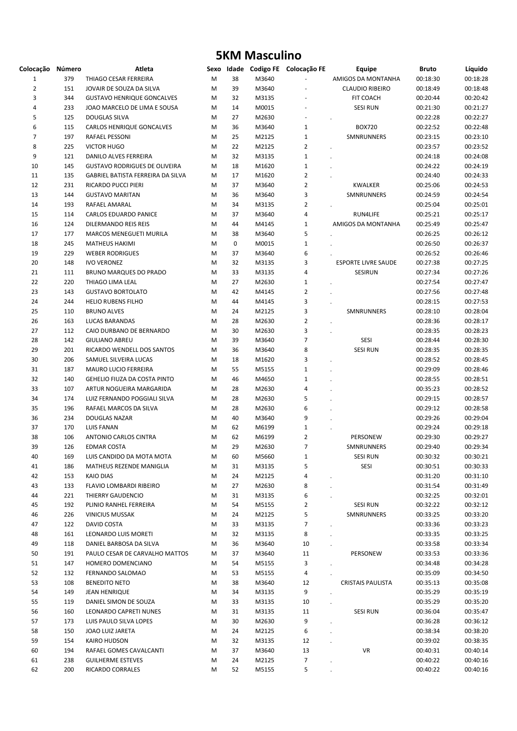## 5KM Masculino

| Colocação Número |     | Atleta                               | Sexo |    |       | Idade Codigo FE Colocação FE | <b>Equipe</b>              | <b>Bruto</b> | Líquido  |
|------------------|-----|--------------------------------------|------|----|-------|------------------------------|----------------------------|--------------|----------|
| $\mathbf{1}$     | 379 | THIAGO CESAR FERREIRA                | M    | 38 | M3640 |                              | AMIGOS DA MONTANHA         | 00:18:30     | 00:18:28 |
| $\overline{2}$   | 151 | JOVAIR DE SOUZA DA SILVA             | M    | 39 | M3640 |                              | <b>CLAUDIO RIBEIRO</b>     | 00:18:49     | 00:18:48 |
| 3                | 344 | <b>GUSTAVO HENRIQUE GONCALVES</b>    | M    | 32 | M3135 | ä,                           | FIT COACH                  | 00:20:44     | 00:20:42 |
| 4                | 233 | JOAO MARCELO DE LIMA E SOUSA         | М    | 14 | M0015 | ä,                           | <b>SESI RUN</b>            | 00:21:30     | 00:21:27 |
| 5                | 125 | <b>DOUGLAS SILVA</b>                 | M    | 27 | M2630 | ÷,                           |                            | 00:22:28     | 00:22:27 |
| 6                | 115 | <b>CARLOS HENRIQUE GONCALVES</b>     | M    | 36 | M3640 | $\mathbf 1$                  | <b>BOX720</b>              | 00:22:52     | 00:22:48 |
| $\overline{7}$   | 197 | RAFAEL PESSONI                       | M    | 25 | M2125 | $\mathbf 1$                  | SMNRUNNERS                 | 00:23:15     | 00:23:10 |
| 8                | 225 | <b>VICTOR HUGO</b>                   | M    | 22 | M2125 | $\overline{2}$               |                            | 00:23:57     | 00:23:52 |
| 9                | 121 | DANILO ALVES FERREIRA                | M    | 32 | M3135 | $\mathbf{1}$                 |                            | 00:24:18     | 00:24:08 |
| 10               | 145 | <b>GUSTAVO RODRIGUES DE OLIVEIRA</b> | М    | 18 | M1620 | $\mathbf 1$                  |                            | 00:24:22     | 00:24:19 |
| 11               | 135 | GABRIEL BATISTA FERREIRA DA SILVA    | М    | 17 | M1620 | $\overline{2}$               |                            | 00:24:40     | 00:24:33 |
| 12               | 231 | RICARDO PUCCI PIERI                  | М    | 37 | M3640 | $\overline{2}$               | <b>KWALKER</b>             | 00:25:06     | 00:24:53 |
| 13               | 144 | <b>GUSTAVO MARITAN</b>               | M    | 36 | M3640 | 3                            | SMNRUNNERS                 | 00:24:59     | 00:24:54 |
| 14               | 193 | RAFAEL AMARAL                        | M    | 34 | M3135 | $\overline{2}$               |                            | 00:25:04     | 00:25:01 |
| 15               | 114 | <b>CARLOS EDUARDO PANICE</b>         | M    | 37 | M3640 | 4                            | RUN4LIFE                   | 00:25:21     | 00:25:17 |
| 16               | 124 | DILERMANDO REIS REIS                 | M    | 44 | M4145 | $\mathbf{1}$                 | AMIGOS DA MONTANHA         | 00:25:49     | 00:25:47 |
| 17               | 177 | <b>MARCOS MENEGUETI MURILA</b>       | M    | 38 | M3640 | 5                            |                            | 00:26:25     | 00:26:12 |
| 18               | 245 | <b>MATHEUS HAKIMI</b>                | M    | 0  | M0015 | $\mathbf 1$                  |                            | 00:26:50     | 00:26:37 |
| 19               | 229 | <b>WEBER RODRIGUES</b>               | M    | 37 | M3640 | 6                            |                            | 00:26:52     | 00:26:46 |
| 20               | 148 | <b>IVO VERONEZ</b>                   | М    | 32 | M3135 | 3                            | <b>ESPORTE LIVRE SAUDE</b> | 00:27:38     | 00:27:25 |
| 21               | 111 | BRUNO MARQUES DO PRADO               | M    | 33 | M3135 | 4                            | SESIRUN                    | 00:27:34     | 00:27:26 |
| 22               | 220 | THIAGO LIMA LEAL                     | M    | 27 | M2630 | $\mathbf 1$                  |                            | 00:27:54     | 00:27:47 |
| 23               | 143 | <b>GUSTAVO BORTOLATO</b>             | M    | 42 | M4145 | $\mathbf 2$                  |                            | 00:27:56     | 00:27:48 |
| 24               | 244 | <b>HELIO RUBENS FILHO</b>            | M    | 44 | M4145 | 3                            |                            | 00:28:15     | 00:27:53 |
| 25               | 110 | <b>BRUNO ALVES</b>                   | M    | 24 | M2125 | 3                            | SMNRUNNERS                 | 00:28:10     | 00:28:04 |
| 26               | 163 | <b>LUCAS BARANDAS</b>                | M    | 28 | M2630 | $\overline{2}$               |                            | 00:28:36     | 00:28:17 |
| 27               | 112 | CAIO DURBANO DE BERNARDO             | M    | 30 | M2630 | 3                            |                            | 00:28:35     | 00:28:23 |
| 28               | 142 | <b>GIULIANO ABREU</b>                | M    | 39 | M3640 | $\overline{7}$               | SESI                       | 00:28:44     | 00:28:30 |
| 29               | 201 | RICARDO WENDELL DOS SANTOS           | M    | 36 | M3640 | 8                            | <b>SESI RUN</b>            | 00:28:35     | 00:28:35 |
| 30               | 206 | SAMUEL SILVEIRA LUCAS                | М    | 18 | M1620 | 3                            |                            | 00:28:52     | 00:28:45 |
| 31               | 187 | MAURO LUCIO FERREIRA                 | M    | 55 | M5155 | $1\,$                        |                            | 00:29:09     | 00:28:46 |
| 32               | 140 | GEHELIO FIUZA DA COSTA PINTO         | M    | 46 | M4650 | $\mathbf 1$                  |                            | 00:28:55     | 00:28:51 |
| 33               | 107 | ARTUR NOGUEIRA MARGARIDA             | M    | 28 | M2630 | 4                            |                            | 00:35:23     | 00:28:52 |
| 34               | 174 | LUIZ FERNANDO POGGIALI SILVA         | M    | 28 | M2630 | 5                            |                            | 00:29:15     | 00:28:57 |
| 35               | 196 | RAFAEL MARCOS DA SILVA               | M    | 28 | M2630 | 6                            |                            | 00:29:12     | 00:28:58 |
| 36               | 234 | <b>DOUGLAS NAZAR</b>                 | M    | 40 | M3640 | 9                            |                            | 00:29:26     | 00:29:04 |
| 37               | 170 | <b>LUIS FANAN</b>                    | М    | 62 | M6199 | $\mathbf 1$                  |                            | 00:29:24     | 00:29:18 |
| 38               | 106 | ANTONIO CARLOS CINTRA                | M    | 62 | M6199 | $\overline{2}$               | PERSONEW                   | 00:29:30     | 00:29:27 |
| 39               | 126 | <b>EDMAR COSTA</b>                   | M    | 29 | M2630 | 7                            | SMNRUNNERS                 | 00:29:40     | 00:29:34 |
| 40               | 169 | LUIS CANDIDO DA MOTA MOTA            | M    | 60 | M5660 | $\mathbf{1}$                 | <b>SESI RUN</b>            | 00:30:32     | 00:30:21 |
| 41               | 186 | MATHEUS REZENDE MANIGLIA             | M    | 31 | M3135 | 5                            | SESI                       | 00:30:51     | 00:30:33 |
| 42               | 153 | <b>KAIO DIAS</b>                     | M    | 24 | M2125 | 4                            |                            | 00:31:20     | 00:31:10 |
| 43               | 133 | FLAVIO LOMBARDI RIBEIRO              | M    | 27 | M2630 | 8                            |                            | 00:31:54     | 00:31:49 |
| 44               | 221 | THIERRY GAUDENCIO                    | M    | 31 | M3135 | 6                            |                            | 00:32:25     | 00:32:01 |
| 45               | 192 | PLINIO RANHEL FERREIRA               | M    | 54 | M5155 | $\overline{2}$               | <b>SESI RUN</b>            | 00:32:22     | 00:32:12 |
| 46               | 226 | <b>VINICIUS MUSSAK</b>               | M    | 24 | M2125 | 5                            | SMNRUNNERS                 | 00:33:25     | 00:33:20 |
| 47               | 122 | DAVID COSTA                          | M    | 33 | M3135 | 7                            |                            | 00:33:36     | 00:33:23 |
| 48               | 161 | LEONARDO LUIS MORETI                 | М    | 32 | M3135 | 8                            |                            | 00:33:35     | 00:33:25 |
| 49               | 118 | DANIEL BARBOSA DA SILVA              | М    | 36 | M3640 | 10                           |                            | 00:33:58     | 00:33:34 |
| 50               | 191 | PAULO CESAR DE CARVALHO MATTOS       | М    | 37 | M3640 | 11                           | PERSONEW                   | 00:33:53     | 00:33:36 |
| 51               | 147 | HOMERO DOMENCIANO                    | М    | 54 | M5155 | 3                            |                            | 00:34:48     | 00:34:28 |
| 52               | 132 | FERNANDO SALOMAO                     | M    | 53 | M5155 | 4                            |                            | 00:35:09     | 00:34:50 |
| 53               | 108 | <b>BENEDITO NETO</b>                 | M    | 38 | M3640 | 12                           | <b>CRISTAIS PAULISTA</b>   | 00:35:13     | 00:35:08 |
| 54               | 149 | <b>JEAN HENRIQUE</b>                 | M    | 34 | M3135 | 9                            |                            | 00:35:29     | 00:35:19 |
| 55               | 119 | DANIEL SIMON DE SOUZA                | М    | 33 | M3135 | 10                           |                            | 00:35:29     | 00:35:20 |
| 56               | 160 | LEONARDO CAPRETI NUNES               | M    | 31 | M3135 | 11                           | <b>SESI RUN</b>            | 00:36:04     | 00:35:47 |
| 57               | 173 | LUIS PAULO SILVA LOPES               | M    | 30 | M2630 | 9                            |                            | 00:36:28     | 00:36:12 |
| 58               | 150 | JOAO LUIZ JARETA                     | M    | 24 | M2125 | 6                            | $\ddot{\phantom{0}}$       | 00:38:34     | 00:38:20 |
| 59               | 154 | KAIRO HUDSON                         | M    | 32 | M3135 | 12                           |                            | 00:39:02     | 00:38:35 |
| 60               | 194 | RAFAEL GOMES CAVALCANTI              | М    | 37 | M3640 | 13                           | VR                         | 00:40:31     | 00:40:14 |
| 61               | 238 | <b>GUILHERME ESTEVES</b>             | M    | 24 | M2125 | $\overline{7}$               |                            | 00:40:22     | 00:40:16 |
| 62               | 200 |                                      | M    | 52 |       | 5                            |                            |              |          |
|                  |     | RICARDO CORRALES                     |      |    | M5155 |                              |                            | 00:40:22     | 00:40:16 |